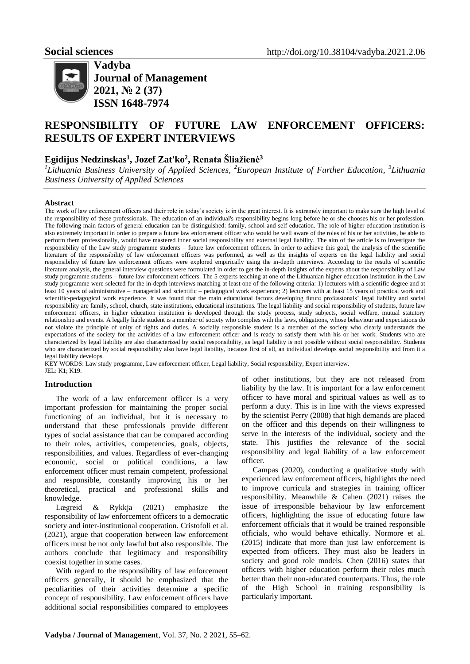

**Vadyba Journal of Management 2021, № 2 (37) ISSN 1648-7974**

# **RESPONSIBILITY OF FUTURE LAW ENFORCEMENT OFFICERS: RESULTS OF EXPERT INTERVIEWS**

# **Egidijus Nedzinskas<sup>1</sup> , Jozef Zat'ko<sup>2</sup> , Renata Šliažienė<sup>3</sup>**

*<sup>1</sup>Lithuania Business University of Applied Sciences, <sup>2</sup>European Institute of Further Education, <sup>3</sup>Lithuania Business University of Applied Sciences*

## **Abstract**

The work of law enforcement officers and their role in today's society is in the great interest. It is extremely important to make sure the high level of the responsibility of these professionals. The education of an individual's responsibility begins long before he or she chooses his or her profession. The following main factors of general education can be distinguished: family, school and self education. The role of higher education institution is also extremely important in order to prepare a future law enforcement officer who would be well aware of the roles of his or her activities, be able to perform them professionally, would have mastered inner social responsibility and external legal liability. The aim of the article is to investigate the responsibility of the Law study programme students – future law enforcement officers. In order to achieve this goal, the analysis of the scientific literature of the responsibility of law enforcement officers was performed, as well as the insights of experts on the legal liability and social responsibility of future law enforcement officers were explored empirically using the in-depth interviews. According to the results of scientific literature analysis, the general interview questions were formulated in order to get the in-depth insights of the experts about the responsibility of Law study programme students – future law enforcement officers. The 5 experts teaching at one of the Lithuanian higher education institution in the Law study programme were selected for the in-depth interviews matching at least one of the following criteria: 1) lecturers with a scientific degree and at least 10 years of administrative – managerial and scientific – pedagogical work experience; 2) lecturers with at least 15 years of practical work and scientific-pedagogical work experience. It was found that the main educational factors developing future professionals' legal liability and social responsibility are family, school, church, state institutions, educational institutions. The legal liability and social responsibility of students, future law enforcement officers, in higher education institution is developed through the study process, study subjects, social welfare, mutual statutory relationship and events. A legally liable student is a member of society who complies with the laws, obligations, whose behaviour and expectations do not violate the principle of unity of rights and duties. A socially responsible student is a member of the society who clearly understands the expectations of the society for the activities of a law enforcement officer and is ready to satisfy them with his or her work. Students who are characterized by legal liability are also characterized by social responsibility, as legal liability is not possible without social responsibility. Students who are characterized by social responsibility also have legal liability, because first of all, an individual develops social responsibility and from it a legal liability develops.

KEY WORDS: Law study programme, Law enforcement officer, Legal liability, Social responsibility, Expert interview. JEL: K1; K19.

# **Introduction**

The work of a law enforcement officer is a very important profession for maintaining the proper social functioning of an individual, but it is necessary to understand that these professionals provide different types of social assistance that can be compared according to their roles, activities, competencies, goals, objects, responsibilities, and values. Regardless of ever-changing economic, social or political conditions, a law enforcement officer must remain competent, professional and responsible, constantly improving his or her theoretical, practical and professional skills and knowledge.

[Lægreid](https://www.tandfonline.com/author/L%C3%A6greid%2C+Per) & [Rykkja](https://www.tandfonline.com/author/Rykkja%2C+Lise+H) (2021) emphasize the responsibility of law enforcement officers to a democratic society and inter-institutional cooperation. [Cristofoli](https://www.tandfonline.com/author/Cristofoli%2C+Daniela) et al. (2021), argue that cooperation between law enforcement officers must be not only lawful but also responsible. The authors conclude that legitimacy and responsibility coexist together in some cases.

With regard to the responsibility of law enforcement officers generally, it should be emphasized that the peculiarities of their activities determine a specific concept of responsibility. Law enforcement officers have additional social responsibilities compared to employees

of other institutions, but they are not released from liability by the law. It is important for a law enforcement officer to have moral and spiritual values as well as to perform a duty. This is in line with the views expressed by the scientist Perry (2008) that high demands are placed on the officer and this depends on their willingness to serve in the interests of the individual, society and the state. This justifies the relevance of the social responsibility and legal liability of a law enforcement officer.

Campas (2020), conducting a qualitative study with experienced law enforcement officers, highlights the need to improve curricula and strategies in training officer responsibility. Meanwhile & Cahen (2021) raises the issue of irresponsible behaviour by law enforcement officers, highlighting the issue of educating future law enforcement officials that it would be trained responsible officials, who would behave ethically. Normore et al. (2015) indicate that more than just law enforcement is expected from officers. They must also be leaders in society and good role models. Chen (2016) states that officers with higher education perform their roles much better than their non-educated counterparts. Thus, the role of the High School in training responsibility is particularly important.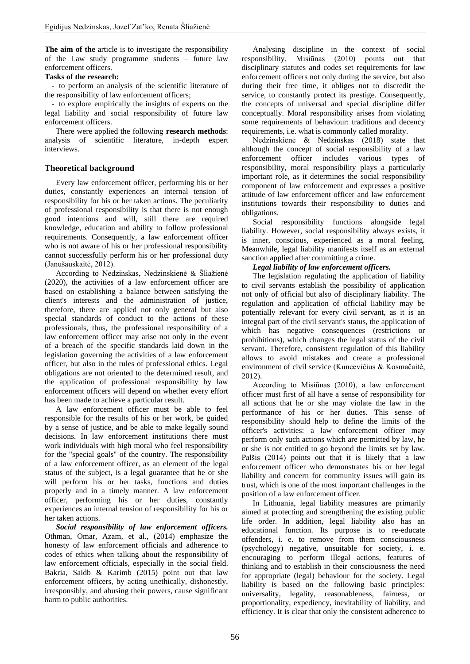**The aim of the** article is to investigate the responsibility of the Law study programme students – future law enforcement officers.

# **Tasks of the research:**

- to perform an analysis of the scientific literature of the responsibility of law enforcement officers;

- to explore empirically the insights of experts on the legal liability and social responsibility of future law enforcement officers.

There were applied the following **research methods**: analysis of scientific literature, in-depth expert interviews.

# **Theoretical background**

Every law enforcement officer, performing his or her duties, constantly experiences an internal tension of responsibility for his or her taken actions. The peculiarity of professional responsibility is that there is not enough good intentions and will, still there are required knowledge, education and ability to follow professional requirements. Consequently, a law enforcement officer who is not aware of his or her professional responsibility cannot successfully perform his or her professional duty (Janušauskaitė, 2012).

According to Nedzinskas, Nedzinskienė & Šliažienė (2020), the activities of a law enforcement officer are based on establishing a balance between satisfying the client's interests and the administration of justice, therefore, there are applied not only general but also special standards of conduct to the actions of these professionals, thus, the professional responsibility of a law enforcement officer may arise not only in the event of a breach of the specific standards laid down in the legislation governing the activities of a law enforcement officer, but also in the rules of professional ethics. Legal obligations are not oriented to the determined result, and the application of professional responsibility by law enforcement officers will depend on whether every effort has been made to achieve a particular result.

A law enforcement officer must be able to feel responsible for the results of his or her work, be guided by a sense of justice, and be able to make legally sound decisions. In law enforcement institutions there must work individuals with high moral who feel responsibility for the "special goals" of the country. The responsibility of a law enforcement officer, as an element of the legal status of the subject, is a legal guarantee that he or she will perform his or her tasks, functions and duties properly and in a timely manner. A law enforcement officer, performing his or her duties, constantly experiences an internal tension of responsibility for his or her taken actions.

*Social responsibility of law enforcement officers.* Othman, Omar, Azam, et al., (2014) emphasize the honesty of law enforcement officials and adherence to codes of ethics when talking about the responsibility of law enforcement officials, especially in the social field. Bakria, Saidb & Karimb (2015) point out that law enforcement officers, by acting unethically, dishonestly, irresponsibly, and abusing their powers, cause significant harm to public authorities.

Analysing discipline in the context of social responsibility, Misiūnas (2010) points out that disciplinary statutes and codes set requirements for law enforcement officers not only during the service, but also during their free time, it obliges not to discredit the service, to constantly protect its prestige. Consequently, the concepts of universal and special discipline differ conceptually. Moral responsibility arises from violating some requirements of behaviour: traditions and decency requirements, i.e. what is commonly called morality.

Nedzinskienė & Nedzinskas (2018) state that although the concept of social responsibility of a law enforcement officer includes various types of responsibility, moral responsibility plays a particularly important role, as it determines the social responsibility component of law enforcement and expresses a positive attitude of law enforcement officer and law enforcement institutions towards their responsibility to duties and obligations.

Social responsibility functions alongside legal liability. However, social responsibility always exists, it is inner, conscious, experienced as a moral feeling. Meanwhile, legal liability manifests itself as an external sanction applied after committing a crime.

# *Legal liability of law enforcement officers.*

The legislation regulating the application of liability to civil servants establish the possibility of application not only of official but also of disciplinary liability. The regulation and application of official liability may be potentially relevant for every civil servant, as it is an integral part of the civil servant's status, the application of which has negative consequences (restrictions or prohibitions), which changes the legal status of the civil servant. Therefore, consistent regulation of this liability allows to avoid mistakes and create a professional environment of civil service (Kuncevičius & Kosmačaitė, 2012).

According to Misiūnas (2010), a law enforcement officer must first of all have a sense of responsibility for all actions that he or she may violate the law in the performance of his or her duties. This sense of responsibility should help to define the limits of the officer's activities: a law enforcement officer may perform only such actions which are permitted by law, he or she is not entitled to go beyond the limits set by law. Palšis (2014) points out that it is likely that a law enforcement officer who demonstrates his or her legal liability and concern for community issues will gain its trust, which is one of the most important challenges in the position of a law enforcement officer.

In Lithuania, legal liability measures are primarily aimed at protecting and strengthening the existing public life order. In addition, legal liability also has an educational function. Its purpose is to re-educate offenders, i. e. to remove from them consciousness (psychology) negative, unsuitable for society, i. e. encouraging to perform illegal actions, features of thinking and to establish in their consciousness the need for appropriate (legal) behaviour for the society. Legal liability is based on the following basic principles: universality, legality, reasonableness, fairness, or proportionality, expediency, inevitability of liability, and efficiency. It is clear that only the consistent adherence to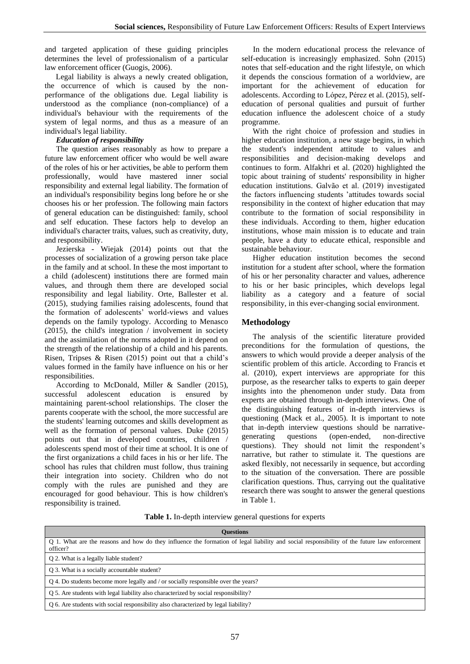and targeted application of these guiding principles determines the level of professionalism of a particular law enforcement officer (Guogis, 2006).

Legal liability is always a newly created obligation, the occurrence of which is caused by the nonperformance of the obligations due. Legal liability is understood as the compliance (non-compliance) of a individual's behaviour with the requirements of the system of legal norms, and thus as a measure of an individual's legal liability.

# *Education of responsibility*

The question arises reasonably as how to prepare a future law enforcement officer who would be well aware of the roles of his or her activities, be able to perform them professionally, would have mastered inner social responsibility and external legal liability. The formation of an individual's responsibility begins long before he or she chooses his or her profession. The following main factors of general education can be distinguished: family, school and self education. These factors help to develop an individual's character traits, values, such as creativity, duty, and responsibility.

Jezierska - Wiejak (2014) points out that the processes of socialization of a growing person take place in the family and at school. In these the most important to a child (adolescent) institutions there are formed main values, and through them there are developed social responsibility and legal liability. [Orte,](http://www.emeraldinsight.com/author/Orte%2C+Carmen) [Ballester](http://www.emeraldinsight.com/author/Ballester%2C+Llu%C3%ADs) et al. (2015), studying families raising adolescents, found that the formation of adolescents' world-views and values depends on the family typology. [According to Menasco](http://www.emeraldinsight.com/author/Menasco%2C+Melissa+A) (2015), the child's integration / involvement in society and the assimilation of the norms adopted in it depend on the strength of the relationship of a child and his parents. [Risen,](http://www.emeraldinsight.com/author/Risen%2C+D+Michael) [Tripses](http://www.emeraldinsight.com/author/Tripses%2C+Jenny) & [Risen](http://www.emeraldinsight.com/author/Risen%2C+Anne) (2015) point out that a child's values formed in the family have influence on his or her responsibilities.

[According to McDonald,](http://www.emeraldinsight.com/author/McDonald%2C+Lynn) [Miller](http://www.emeraldinsight.com/author/Miller%2C+Hannah) & [Sandler](http://www.emeraldinsight.com/author/Sandler%2C+Jen) (2015), successful adolescent education is ensured by maintaining parent-school relationships. The closer the parents cooperate with the school, the more successful are the students' learning outcomes and skills development as well as the formation of personal values. [Duke](http://www.emeraldinsight.com/author/Duke%2C+Daniel+L) (2015) points out that in developed countries, children / adolescents spend most of their time at school. It is one of the first organizations a child faces in his or her life. The school has rules that children must follow, thus training their integration into society. Children who do not comply with the rules are punished and they are encouraged for good behaviour. This is how children's responsibility is trained.

In the modern educational process the relevance of self-education is increasingly emphasized. Sohn (2015) notes that self-education and the right lifestyle, on which it depends the conscious formation of a worldview, are important for the achievement of education for adolescents. According to [López,](http://www.emeraldinsight.com/author/Hern%C3%A1ndez+L%C3%B3pez%2C+Lidia) [Pérez](http://www.emeraldinsight.com/author/de+Sa%C3%A1+P%C3%A9rez%2C+Petra) et al. (2015), selfeducation of personal qualities and pursuit of further education influence the adolescent choice of a study programme.

With the right choice of profession and studies in higher education institution, a new stage begins, in which the student's independent attitude to values and responsibilities and decision-making develops and continues to form. Alfakhri et al. (2020) highlighted the topic about training of students' responsibility in higher education institutions. Galvão et al. (2019) investigated the factors influencing students 'attitudes towards social responsibility in the context of higher education that may contribute to the formation of social responsibility in these individuals. According to them, higher education institutions, whose main mission is to educate and train people, have a duty to educate ethical, responsible and sustainable behaviour.

Higher education institution becomes the second institution for a student after school, where the formation of his or her personality character and values, adherence to his or her basic principles, which develops legal liability as a category and a feature of social responsibility, in this ever-changing social environment.

# **Methodology**

The analysis of the scientific literature provided preconditions for the formulation of questions, the answers to which would provide a deeper analysis of the scientific problem of this article. According to Francis et al. (2010), expert interviews are appropriate for this purpose, as the researcher talks to experts to gain deeper insights into the phenomenon under study. Data from experts are obtained through in-depth interviews. One of the distinguishing features of in-depth interviews is questioning (Mack et al., 2005). It is important to note that in-depth interview questions should be narrativegenerating questions (open-ended, non-directive questions). They should not limit the respondent's narrative, but rather to stimulate it. The questions are asked flexibly, not necessarily in sequence, but according to the situation of the conversation. There are possible clarification questions. Thus, carrying out the qualitative research there was sought to answer the general questions in Table 1.

**Table 1.** In-depth interview general questions for experts

| <b>Ouestions</b>                                                                                                                                         |  |  |  |  |
|----------------------------------------------------------------------------------------------------------------------------------------------------------|--|--|--|--|
| Q 1. What are the reasons and how do they influence the formation of legal liability and social responsibility of the future law enforcement<br>officer? |  |  |  |  |
| Q 2. What is a legally liable student?                                                                                                                   |  |  |  |  |
| Q 3. What is a socially accountable student?                                                                                                             |  |  |  |  |
| Q 4. Do students become more legally and / or socially responsible over the years?                                                                       |  |  |  |  |
| Q 5. Are students with legal liability also characterized by social responsibility?                                                                      |  |  |  |  |
| Q 6. Are students with social responsibility also characterized by legal liability?                                                                      |  |  |  |  |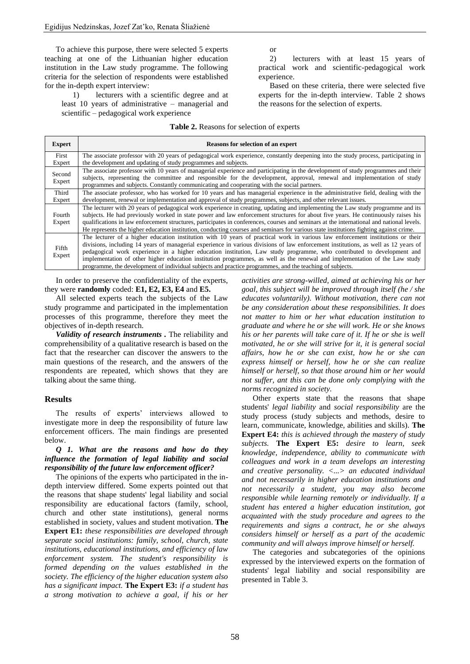To achieve this purpose, there were selected 5 experts teaching at one of the Lithuanian higher education institution in the Law study programme. The following criteria for the selection of respondents were established for the in-depth expert interview:

1) lecturers with a scientific degree and at least 10 years of administrative – managerial and scientific – pedagogical work experience

or

2) lecturers with at least 15 years of practical work and scientific-pedagogical work experience.

Based on these criteria, there were selected five experts for the in-depth interview. Table 2 shows the reasons for the selection of experts.

|  |  |  | Table 2. Reasons for selection of experts |  |  |
|--|--|--|-------------------------------------------|--|--|
|--|--|--|-------------------------------------------|--|--|

| <b>Expert</b>    | Reasons for selection of an expert                                                                                                                                                                                                                                                                                                                                                                                                                                                                                                                                                                                                          |
|------------------|---------------------------------------------------------------------------------------------------------------------------------------------------------------------------------------------------------------------------------------------------------------------------------------------------------------------------------------------------------------------------------------------------------------------------------------------------------------------------------------------------------------------------------------------------------------------------------------------------------------------------------------------|
| First<br>Expert  | The associate professor with 20 years of pedagogical work experience, constantly deepening into the study process, participating in<br>the development and updating of study programmes and subjects.                                                                                                                                                                                                                                                                                                                                                                                                                                       |
| Second<br>Expert | The associate professor with 10 years of managerial experience and participating in the development of study programmes and their<br>subjects, representing the committee and responsible for the development, approval, renewal and implementation of study<br>programmes and subjects. Constantly communicating and cooperating with the social partners.                                                                                                                                                                                                                                                                                 |
| Third<br>Expert  | The associate professor, who has worked for 10 years and has managerial experience in the administrative field, dealing with the<br>development, renewal or implementation and approval of study programmes, subjects, and other relevant issues.                                                                                                                                                                                                                                                                                                                                                                                           |
| Fourth<br>Expert | The lecturer with 20 years of pedagogical work experience in creating, updating and implementing the Law study programme and its<br>subjects. He had previously worked in state power and law enforcement structures for about five years. He continuously raises his<br>qualifications in law enforcement structures, participates in conferences, courses and seminars at the international and national levels.<br>He represents the higher education institution, conducting courses and seminars for various state institutions fighting against crime.                                                                                |
| Fifth<br>Expert  | The lecturer of a higher education institution with 10 years of practical work in various law enforcement institutions or their<br>divisions, including 14 years of managerial experience in various divisions of law enforcement institutions, as well as 12 years of<br>pedagogical work experience in a higher education institution, Law study programme, who contributed to development and<br>implementation of other higher education institution programmes, as well as the renewal and implementation of the Law study<br>programme, the development of individual subjects and practice programmes, and the teaching of subjects. |

In order to preserve the confidentiality of the experts, they were **randomly** coded: **E1, E2, E3, E4** and **E5.**

All selected experts teach the subjects of the Law study programme and participated in the implementation processes of this programme, therefore they meet the objectives of in-depth research.

*Validity of research instruments .* The reliability and comprehensibility of a qualitative research is based on the fact that the researcher can discover the answers to the main questions of the research, and the answers of the respondents are repeated, which shows that they are talking about the same thing.

#### **Results**

The results of experts' interviews allowed to investigate more in deep the responsibility of future law enforcement officers. The main findings are presented below.

# *Q 1. What are the reasons and how do they influence the formation of legal liability and social responsibility of the future law enforcement officer?*

The opinions of the experts who participated in the indepth interview differed. Some experts pointed out that the reasons that shape students' legal liability and social responsibility are educational factors (family, school, church and other state institutions), general norms established in society, values and student motivation. **The Expert E1:** *these responsibilities are developed through separate social institutions: family, school, church, state institutions, educational institutions, and efficiency of law enforcement system. The student's responsibility is formed depending on the values established in the society. The efficiency of the higher education system also has a significant impact.* **The Expert E3:** *if a student has a strong motivation to achieve a goal, if his or her* 

*activities are strong-willed, aimed at achieving his or her goal, this subject will be improved through itself (he / she educates voluntarily). Without motivation, there can not be any consideration about these responsibilities. It does not matter to him or her what education institution to graduate and where he or she will work. He or she knows his or her parents will take care of it. If he or she is well motivated, he or she will strive for it, it is general social affairs, how he or she can exist, how he or she can express himself or herself, how he or she can realize himself or herself, so that those around him or her would not suffer, ant this can be done only complying with the norms recognized in society.* 

Other experts state that the reasons that shape students' *legal liability* and *social responsibility* are the study process (study subjects and methods, desire to learn, communicate, knowledge, abilities and skills). **The Expert E4:** *this is achieved through the mastery of study subjects.* **The Expert E5:** *desire to learn, seek knowledge, independence, ability to communicate with colleagues and work in a team develops an interesting and creative personality. <...> an educated individual and not necessarily in higher education institutions and not necessarily a student, you may also become responsible while learning remotely or individually. If a student has entered a higher education institution, got acquainted with the study procedure and agrees to the requirements and signs a contract, he or she always considers himself or herself as a part of the academic community and will always improve himself or herself.* 

The categories and subcategories of the opinions expressed by the interviewed experts on the formation of students' legal liability and social responsibility are presented in Table 3.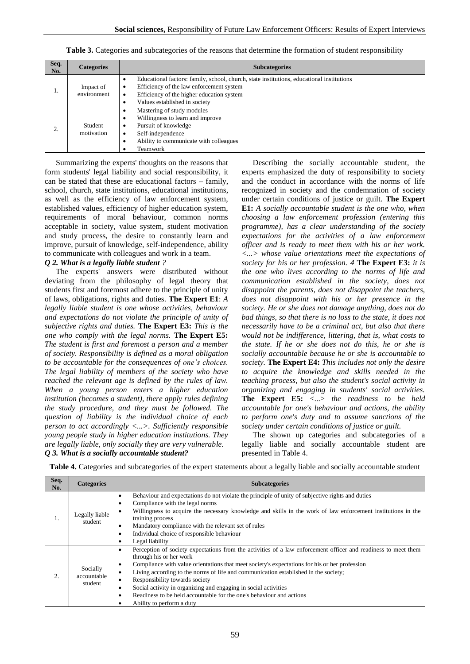|  |  |  | Table 3. Categories and subcategories of the reasons that determine the formation of student responsibility |  |
|--|--|--|-------------------------------------------------------------------------------------------------------------|--|
|  |  |  |                                                                                                             |  |

| Seq.<br>No. | <b>Categories</b>        | <b>Subcategories</b>                                                                                                                                                                                                          |
|-------------|--------------------------|-------------------------------------------------------------------------------------------------------------------------------------------------------------------------------------------------------------------------------|
| 1.          | Impact of<br>environment | Educational factors: family, school, church, state institutions, educational institutions<br>٠<br>Efficiency of the law enforcement system<br>٠<br>Efficiency of the higher education system<br>Values established in society |
| 2.          | Student<br>motivation    | Mastering of study modules<br>$\bullet$<br>Willingness to learn and improve<br>$\bullet$<br>Pursuit of knowledge<br>٠<br>Self-independence<br>Ability to communicate with colleagues<br>Teamwork                              |

Summarizing the experts' thoughts on the reasons that form students' legal liability and social responsibility, it can be stated that these are educational factors – family, school, church, state institutions, educational institutions, as well as the efficiency of law enforcement system, established values, efficiency of higher education system, requirements of moral behaviour, common norms acceptable in society, value system, student motivation and study process, the desire to constantly learn and improve, pursuit of knowledge, self-independence, ability to communicate with colleagues and work in a team.

#### *Q 2. What is a legally liable student ?*

The experts' answers were distributed without deviating from the philosophy of legal theory that students first and foremost adhere to the principle of unity of laws, obligations, rights and duties. **The Expert E1**: *A legally liable student is one whose activities, behaviour and expectations do not violate the principle of unity of subjective rights and duties.* **The Expert E3:** *This is the one who comply with the legal norms.* **The Expert E5:** *The student is first and foremost a person and a member of society. Responsibility is defined as a moral obligation to be accountable for the consequences of one's choices. The legal liability of members of the society who have reached the relevant age is defined by the rules of law. When a young person enters a higher education institution (becomes a student), there apply rules defining the study procedure, and they must be followed. The question of liability is the individual choice of each person to act accordingly <...>. Sufficiently responsible young people study in higher education institutions. They are legally liable, only socially they are very vulnerable. Q 3. What is a socially accountable student?*

Describing the socially accountable student, the experts emphasized the duty of responsibility to society and the conduct in accordance with the norms of life recognized in society and the condemnation of society under certain conditions of justice or guilt. **The Expert E1:** *A socially accountable student is the one who, when choosing a law enforcement profession (entering this programme), has a clear understanding of the society expectations for the activities of a law enforcement officer and is ready to meet them with his or her work. <...> whose value orientations meet the expectations of society for his or her profession. 4* **The Expert E3:** *it is the one who lives according to the norms of life and communication established in the society, does not disappoint the parents, does not disappoint the teachers, does not disappoint with his or her presence in the society. He or she does not damage anything, does not do bad things, so that there is no loss to the state, it does not necessarily have to be a criminal act, but also that there would not be indifference, littering, that is, what costs to the state. If he or she does not do this, he or she is socially accountable because he or she is accountable to society.* **The Expert E4:** *This includes not only the desire to acquire the knowledge and skills needed in the teaching process, but also the student's social activity in organizing and engaging in students' social activities.*  **The Expert E5:** <...> *the readiness to be held accountable for one's behaviour and actions, the ability to perform one's duty and to assume sanctions of the society under certain conditions of justice or guilt.*

The shown up categories and subcategories of a legally liable and socially accountable student are presented in Table 4.

**Table 4.** Categories and subcategories of the expert statements about a legally liable and socially accountable student

| Seq.<br>No.    | <b>Categories</b>                  | <b>Subcategories</b>                                                                                                                                                                                                                                                                                                                                                                                                                                                                                                                                                      |
|----------------|------------------------------------|---------------------------------------------------------------------------------------------------------------------------------------------------------------------------------------------------------------------------------------------------------------------------------------------------------------------------------------------------------------------------------------------------------------------------------------------------------------------------------------------------------------------------------------------------------------------------|
| $\mathbf{1}$ . | Legally liable<br>student          | Behaviour and expectations do not violate the principle of unity of subjective rights and duties<br>٠<br>Compliance with the legal norms<br>٠<br>Willingness to acquire the necessary knowledge and skills in the work of law enforcement institutions in the<br>٠<br>training process<br>Mandatory compliance with the relevant set of rules<br>٠<br>Individual choice of responsible behaviour<br>$\bullet$<br>Legal liability<br>٠                                                                                                                                     |
| $\overline{2}$ | Socially<br>accountable<br>student | Perception of society expectations from the activities of a law enforcement officer and readiness to meet them<br>٠<br>through his or her work<br>Compliance with value orientations that meet society's expectations for his or her profession<br>٠<br>Living according to the norms of life and communication established in the society;<br>٠<br>Responsibility towards society<br>٠<br>Social activity in organizing and engaging in social activities<br>٠<br>Readiness to be held accountable for the one's behaviour and actions<br>٠<br>Ability to perform a duty |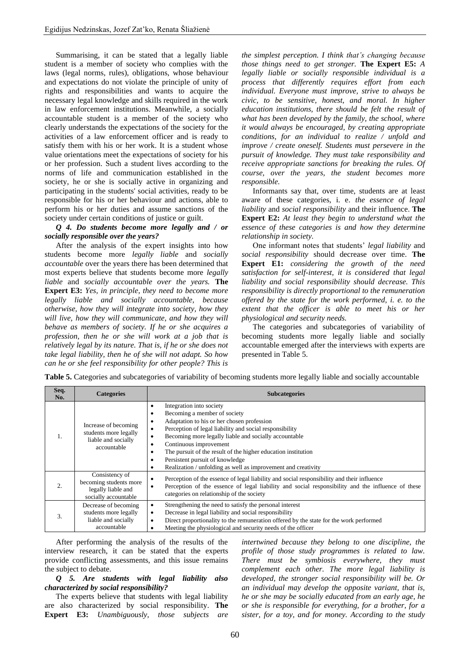Summarising, it can be stated that a legally liable student is a member of society who complies with the laws (legal norms, rules), obligations, whose behaviour and expectations do not violate the principle of unity of rights and responsibilities and wants to acquire the necessary legal knowledge and skills required in the work in law enforcement institutions. Meanwhile, a socially accountable student is a member of the society who clearly understands the expectations of the society for the activities of a law enforcement officer and is ready to satisfy them with his or her work. It is a student whose value orientations meet the expectations of society for his or her profession. Such a student lives according to the norms of life and communication established in the society, he or she is socially active in organizing and participating in the students' social activities, ready to be responsible for his or her behaviour and actions, able to perform his or her duties and assume sanctions of the society under certain conditions of justice or guilt.

## *Q 4. Do students become more legally and / or socially responsible over the years?*

After the analysis of the expert insights into how students become more *legally liable* and *socially accountable* over the years there has been determined that most experts believe that students become more *legally liable* and *socially accountable over the years.* **The Expert E3:** *Yes, in principle, they need to become more legally liable and socially accountable, because otherwise, how they will integrate into society, how they will live, how they will communicate, and how they will behave as members of society. If he or she acquires a profession, then he or she will work at a job that is relatively legal by its nature. That is, if he or she does not take legal liability, then he of she will not adapt. So how can he or she feel responsibility for other people? This is* 

*the simplest perception. I think that's changing because those things need to get stronger.* **The Expert E5:** *A legally liable or socially responsible individual is a process that differently requires effort from each individual. Everyone must improve, strive to always be civic, to be sensitive, honest, and moral. In higher education institutions, there should be felt the result of what has been developed by the family, the school, where it would always be encouraged, by creating appropriate conditions, for an individual to realize / unfold and improve / create oneself. Students must persevere in the pursuit of knowledge. They must take responsibility and receive appropriate sanctions for breaking the rules. Of course, over the years, the student becomes more responsible.* 

Informants say that, over time, students are at least aware of these categories, i. e. *the essence of legal liability* and *social responsibility* and their influence. **The Expert E2:** *At least they begin to understand what the essence of these categories is and how they determine relationship in society.*

One informant notes that students' *legal liability* and *social responsibility* should decrease over time. **The Expert E1:** *considering the growth of the need satisfaction for self-interest, it is considered that legal liability and social responsibility should decrease. This responsibility is directly proportional to the remuneration offered by the state for the work performed, i. e. to the extent that the officer is able to meet his or her physiological and security needs.*

The categories and subcategories of variability of becoming students more legally liable and socially accountable emerged after the interviews with experts are presented in Table 5.

**Table 5.** Categories and subcategories of variability of becoming students more legally liable and socially accountable

| Seq.<br>No.      | <b>Categories</b>                                                                      | <b>Subcategories</b>                                                                                                                                                                                                                                                                                                                                                                                                                                            |
|------------------|----------------------------------------------------------------------------------------|-----------------------------------------------------------------------------------------------------------------------------------------------------------------------------------------------------------------------------------------------------------------------------------------------------------------------------------------------------------------------------------------------------------------------------------------------------------------|
|                  | Increase of becoming<br>students more legally<br>liable and socially<br>accountable    | Integration into society<br>$\bullet$<br>Becoming a member of society<br>٠<br>Adaptation to his or her chosen profession<br>Perception of legal liability and social responsibility<br>Becoming more legally liable and socially accountable<br>٠<br>Continuous improvement<br>The pursuit of the result of the higher education institution<br>٠<br>Persistent pursuit of knowledge<br>٠<br>Realization / unfolding as well as improvement and creativity<br>٠ |
| $\overline{2}$ . | Consistency of<br>becoming students more<br>legally liable and<br>socially accountable | Perception of the essence of legal liability and social responsibility and their influence<br>Perception of the essence of legal liability and social responsibility and the influence of these<br>categories on relationship of the society                                                                                                                                                                                                                    |
| 3.               | Decrease of becoming<br>students more legally<br>liable and socially<br>accountable    | Strengthening the need to satisfy the personal interest<br>٠<br>Decrease in legal liability and social responsibility<br>٠<br>Direct proportionality to the remuneration offered by the state for the work performed<br>Meeting the physiological and security needs of the officer                                                                                                                                                                             |

After performing the analysis of the results of the interview research, it can be stated that the experts provide conflicting assessments, and this issue remains the subject to debate.

#### *Q 5. Are students with legal liability also characterized by social responsibility?*

The experts believe that students with legal liability are also characterized by social responsibility. **The Expert E3:** *Unambiguously, those subjects are*  *intertwined because they belong to one discipline, the profile of those study programmes is related to law. There must be symbiosis everywhere, they must complement each other. The more legal liability is developed, the stronger social responsibility will be. Or an individual may develop the opposite variant, that is, he or she may be socially educated from an early age, he or she is responsible for everything, for a brother, for a sister, for a toy, and for money. According to the study*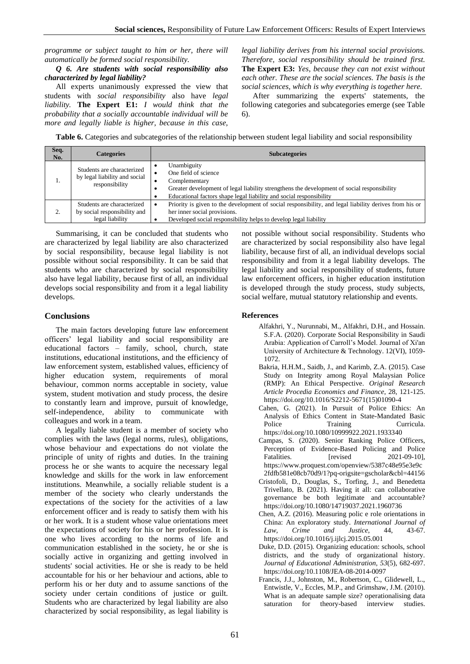*programme or subject taught to him or her, there will automatically be formed social responsibility.* 

*Q 6. Are students with social responsibility also characterized by legal liability?*

All experts unanimously expressed the view that students with *social responsibility* also have *legal liability.* **The Expert E1:** *I would think that the probability that a socially accountable individual will be more and legally liable is higher, because in this case,* 

*legal liability derives from his internal social provisions. Therefore, social responsibility should be trained first.*  **The Expert E3:** *Yes, because they can not exist without each other. These are the social sciences. The basis is the social sciences, which is why everything is together here.* 

After summarizing the experts' statements, the following categories and subcategories emerge (see Table 6).

**Table 6.** Categories and subcategories of the relationship between student legal liability and social responsibility

| Seq.<br>No. | <b>Categories</b>                                                             | <b>Subcategories</b>                                                                                                                                                                                                       |
|-------------|-------------------------------------------------------------------------------|----------------------------------------------------------------------------------------------------------------------------------------------------------------------------------------------------------------------------|
| 1.          | Students are characterized<br>by legal liability and social<br>responsibility | Unambiguity<br>One field of science<br>Complementary<br>Greater development of legal liability strengthens the development of social responsibility<br>Educational factors shape legal liability and social responsibility |
| 2.          | Students are characterized<br>by social responsibility and<br>legal liability | Priority is given to the development of social responsibility, and legal liability derives from his or<br>her inner social provisions.<br>Developed social responsibility helps to develop legal liability                 |

Summarising, it can be concluded that students who are characterized by legal liability are also characterized by social responsibility, because legal liability is not possible without social responsibility. It can be said that students who are characterized by social responsibility also have legal liability, because first of all, an individual develops social responsibility and from it a legal liability develops.

# **Conclusions**

The main factors developing future law enforcement officers' legal liability and social responsibility are educational factors – family, school, church, state institutions, educational institutions, and the efficiency of law enforcement system, established values, efficiency of higher education system, requirements of moral behaviour, common norms acceptable in society, value system, student motivation and study process, the desire to constantly learn and improve, pursuit of knowledge, self-independence, ability to communicate with colleagues and work in a team.

A legally liable student is a member of society who complies with the laws (legal norms, rules), obligations, whose behaviour and expectations do not violate the principle of unity of rights and duties. In the training process he or she wants to acquire the necessary legal knowledge and skills for the work in law enforcement institutions. Meanwhile, a socially reliable student is a member of the society who clearly understands the expectations of the society for the activities of a law enforcement officer and is ready to satisfy them with his or her work. It is a student whose value orientations meet the expectations of society for his or her profession. It is one who lives according to the norms of life and communication established in the society, he or she is socially active in organizing and getting involved in students' social activities. He or she is ready to be held accountable for his or her behaviour and actions, able to perform his or her duty and to assume sanctions of the society under certain conditions of justice or guilt. Students who are characterized by legal liability are also characterized by social responsibility, as legal liability is

not possible without social responsibility. Students who are characterized by social responsibility also have legal liability, because first of all, an individual develops social responsibility and from it a legal liability develops. The legal liability and social responsibility of students, future law enforcement officers, in higher education institution is developed through the study process, study subjects, social welfare, mutual statutory relationship and events.

# **References**

- Alfakhri, Y., Nurunnabi, M., Alfakhri, D.H., and Hossain. S.F.A. (2020). Corporate Social Responsibility in Saudi Arabia: Application of Carroll's Model. Journal of Xi'an University of Architecture & Technology. 12(VI), 1059- 1072.
- Bakria, H.H.M., Saidb, J., and Karimb, Z.A. (2015). Case Study on Integrity among Royal Malaysian Police (RMP): An Ethical Perspective. *Original Research Article Procedia Economics and Finance*, 28, 121-125. [https://doi.org/10.1016/S2212-5671\(15\)01090-4](https://doi.org/10.1016/S2212-5671(15)01090-4)
- Cahen, G. (2021). In Pursuit of Police Ethics: An Analysis of Ethics Content in State-Mandated Basic Police Training Curricula. <https://doi.org/10.1080/10999922.2021.1933340>
- Campas, S. (2020). Senior Ranking Police Officers, Perception of Evidence-Based Policing and Police Fatalities. [revised 2021-09-10], [https://www.proquest.com/openview/5387c48e95e3e9c](https://www.proquest.com/openview/5387c48e95e3e9c2fdfb581e08cb70d9/1?pq-origsite=gscholar&cbl=44156) [2fdfb581e08cb70d9/1?pq-origsite=gscholar&cbl=44156](https://www.proquest.com/openview/5387c48e95e3e9c2fdfb581e08cb70d9/1?pq-origsite=gscholar&cbl=44156)
- [Cristofoli,](https://www.tandfonline.com/author/Cristofoli%2C+Daniela) D., [Douglas,](https://www.tandfonline.com/author/Douglas%2C+Scott) S., [Torfing,](https://www.tandfonline.com/author/Torfing%2C+Jacob) J., and [Benedetta](https://www.tandfonline.com/author/Trivellato%2C+Benedetta)  [Trivellato,](https://www.tandfonline.com/author/Trivellato%2C+Benedetta) B. (2021). Having it all: can collaborative governance be both legitimate and accountable? <https://doi.org/10.1080/14719037.2021.1960736>
- Chen, A.Z. (2016). Measuring polic e role orientations in China: An exploratory study. *International Journal of Law, Crime and Justice*, 44, 43-67. <https://doi.org/10.1016/j.ijlcj.2015.05.001>
- [Duke, D.D.](http://www.emeraldinsight.com/author/Duke%2C+Daniel+L) (2015)*.* Organizing education: schools, school districts, and the study of organizational history. *Journal of Educational Administration, 53*(5), 682-697. <https://doi.org/10.1108/JEA-08-2014-0097>
- Francis, J.J., Johnston, M., Robertson, C., Glidewell, L., Entwistle, V., Eccles, M.P., and Grimshaw, J.M. (2010). What is an adequate sample size? operationalising data saturation for theory-based interview studies.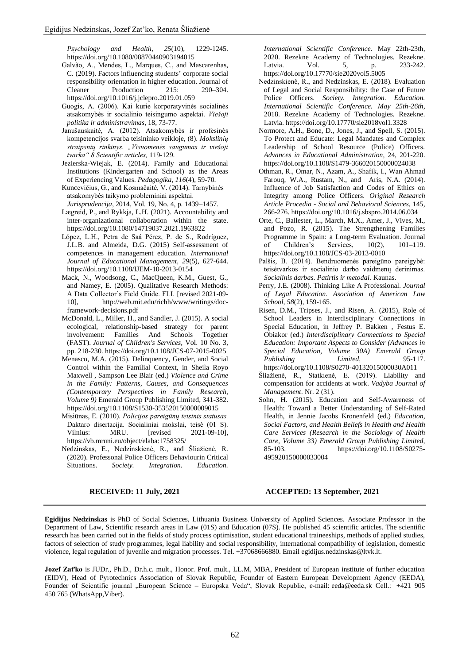*Psychology and Health, 25*(10), 1229-1245. <https://doi.org/10.1080/08870440903194015>

- Galvão, A., Mendes, L., Marques, C., and Mascarenhas, C. (2019). Factors influencing students' corporate social responsibility orientation in higher education. Journal of Cleaner Production 215: 290–304. <https://doi.org/10.1016/j.jclepro.2019.01.059>
- Guogis, A. (2006). Kai kurie korporatyvinės socialinės atsakomybės ir socialinio teisingumo aspektai. *Viešoji politika ir administravimas*, 18, 73-77.
- Janušauskaitė, A. (2012). Atsakomybės ir profesinės kompetencijos svarba teisininko veikloje, (8). *Mokslinių straipsnių rinkinys. "Visuomenės saugumas ir viešoji tvarka" 8 Scientific articles,* 119-129.
- Jezierska-Wiejak, E. (2014). Family and Educational Institutions (Kindergarten and School) as the Areas of Experiencing Values. *Pedagogika, 116*(4), 59-70.
- Kuncevičius, G., and Kosmačaitė, V. (2014). Tarnybinės atsakomybės taikymo probleminiai aspektai.

*Jurisprudencija*, 2014, Vol. 19, No. 4, p. 1439–1457.

- [Lægreid,](https://www.tandfonline.com/author/L%C3%A6greid%2C+Per) P., and [Rykkja,](https://www.tandfonline.com/author/Rykkja%2C+Lise+H) L.H. (2021). Accountability and inter-organizational collaboration within the state. <https://doi.org/10.1080/14719037.2021.1963822>
- [López, L.H.,](http://www.emeraldinsight.com/author/Hern%C3%A1ndez+L%C3%B3pez%2C+Lidia) [Petra de Saá Pérez, P. de S.,](http://www.emeraldinsight.com/author/de+Sa%C3%A1+P%C3%A9rez%2C+Petra) [Rodríguez,](http://www.emeraldinsight.com/author/Ballesteros+Rodr%C3%ADguez%2C+Jose+Luis)  [J.L.B. a](http://www.emeraldinsight.com/author/Ballesteros+Rodr%C3%ADguez%2C+Jose+Luis)nd [Almeida, D.G.](http://www.emeraldinsight.com/author/Garc%C3%ADa+Almeida%2C+Desiderio) (2015) Self-assessment of competences in management education. *International Journal of Educational Management, 29*(5), 627-644. <https://doi.org/10.1108/IJEM-10-2013-0154>
- Mack, N., Woodsong, C., MacQueen, K.M., Guest, G., and Namey, E. (2005). Qualitative Research Methods: A Data Collector's Field Guide. FLI. [revised 2021-09- 10], [http://web.mit.edu/richh/www/writings/doc](http://web.mit.edu/richh/www/writings/doc-framework-decisions.pdf)[framework-decisions.pdf](http://web.mit.edu/richh/www/writings/doc-framework-decisions.pdf)
- [McDonald, L.,](https://www.emerald.com/insight/search?q=Lynn%20McDonald) [Miller, H.,](https://www.emerald.com/insight/search?q=Hannah%20Miller) and [Sandler, J.](https://www.emerald.com/insight/search?q=Jen%20Sandler) (2015). A social ecological, relationship-based strategy for parent involvement: Families And Schools Together (FAST). *[Journal of Children's Services,](https://www.emerald.com/insight/publication/issn/1746-6660)* Vol. 10 No. 3, pp. 218-230. <https://doi.org/10.1108/JCS-07-2015-0025>
- [Menasco, M.A. \(](http://www.emeraldinsight.com/author/Menasco%2C+Melissa+A)2015). Delinquency, Gender, and Social Control within the Familial Context, in Sheila Royo Maxwell , Sampson Lee Blair (ed.) *Violence and Crime in the Family: Patterns, Causes, and Consequences (Contemporary Perspectives in Family Research, Volume 9)* Emerald Group Publishing Limited, 341-382. <https://doi.org/10.1108/S1530-353520150000009015>
- Misiūnas, E. (2010). *Policijos pareigūnų teisinis statusas.* Daktaro disertacija. Socialiniai mokslai, teisė (01 S). Vilnius: MRU. [revised 2021-09-10], <https://vb.mruni.eu/object/elaba:1758325/>
- Nedzinskas, E., Nedzinskienė, R., and Šliažienė, R. (2020). Professonal Police Officers Behaviourin Critical Situations. *Society. Integration. Education.*

*International Scientific Conference.* May 22th-23th, 2020. Rezekne Academy of Technologies. Rezekne. Latvia. Vol. 5, p. 233-242. <https://doi.org/10.17770/sie2020vol5.5005>

- Nedzinskienė, R., and Nedzinskas, E. (2018). Evaluation of Legal and Social Responsibility: the Case of Future Police Officers. *Society. Integration. Education. International Scientific Conference. May 25th-26th,* 2018. Rezekne Academy of Technologies. Rezekne. Latvia.<https://doi.org/10.17770/sie2018vol1.3328>
- Normore, A.H., Bone, D., Jones, J., and Spell, S. (2015). To Protect and Educate: Legal Mandates and Complex Leadership of School Resource (Police) Officers. *Advances in Educational Administration,* 24, 201-220. <https://doi.org/10.1108/S1479-366020150000024038>
- Othman, R., Omar, N., Azam, A., Shafik, I., [Wan Ahmad](http://www.sciencedirect.com/science/article/pii/S1877042814038920)  [Farouq,](http://www.sciencedirect.com/science/article/pii/S1877042814038920) W.A., [Rustam,](http://www.sciencedirect.com/science/article/pii/S1877042814038920) N., and [Aris,](http://www.sciencedirect.com/science/article/pii/S1877042814038920) N.A. (2014). [Influence of Job Satisfaction and Codes of Ethics on](http://www.sciencedirect.com/science/article/pii/S1877042814038920)  [Integrity among Police Officers.](http://www.sciencedirect.com/science/article/pii/S1877042814038920) *Original Research Article Procedia - Social and Behavioral Sciences,* 145, 266-276. <https://doi.org/10.1016/j.sbspro.2014.06.034>
- Orte, C., Ballester, L., March, M.X., Amer, J., Vives, M., and Pozo, R. (2015). The Strengthening Families Programme in Spain: a Long-term Evaluation. Journal of Children's Services, 10(2), 101–119. <https://doi.org/10.1108/JCS-03-2013-0010>
- Palšis, B. (2014). Bendruomenės pareigūno pareigybė: teisėtvarkos ir socialinio darbo vaidmenų derinimas. *Socialinis darbas. Patirtis ir metodai.* Kaunas.
- Perry, J.E. (2008). Thinking Like A Professional. *Journal of Legal Education. Asociation of American Law School, 58*(2), 159-165.
- [Risen, D.M.,](http://www.emeraldinsight.com/author/Risen%2C+D+Michael) [Tripses, J., a](http://www.emeraldinsight.com/author/Tripses%2C+Jenny)nd [Risen, A. \(](http://www.emeraldinsight.com/author/Risen%2C+Anne)2015), Role of School Leaders in Interdisciplinary Connections in Special Education, in Jeffrey P. Bakken , Festus E. Obiakor (ed.) *Interdisciplinary Connections to Special Education: Important Aspects to Consider (Advances in Special Education, Volume 30A) Emerald Group Publishing Limited,* 95-117. <https://doi.org/10.1108/S0270-40132015000030A011>
- Šliažienė, R., Statkienė, E. (2019). Liability and compensation for accidents at work. *Vadyba Journal of Management*. Nr. 2 (31).
- [Sohn, H. \(](http://www.emeraldinsight.com/author/Sohn%2C+Heeju)2015). Education and Self-Awareness of Health: Toward a Better Understanding of Self-Rated Health, in Jennie Jacobs Kronenfeld (ed.) *Education, Social Factors, and Health Beliefs in Health and Health Care Services (Research in the Sociology of Health Care, Volume 33) Emerald Group Publishing Limited,*  85-103. [https://doi.org/10.1108/S0275-](https://doi.org/10.1108/S0275-495920150000033004) [495920150000033004](https://doi.org/10.1108/S0275-495920150000033004)

# **RECEIVED: 11 July, 2021 ACCEPTED: 13 September, 2021**

**Egidijus Nedzinskas** is PhD of Social Sciences, Lithuania Business University of Applied Sciences. Associate Professor in the Department of Law, Scientific research areas in Law (01S) and Education (07S). He published 45 scientific articles. The scientific research has been carried out in the fields of study process optimisation, student educational traineeships, methods of applied studies, factors of selection of study programmes, legal liability and social responsibility, international compatibility of legislation, domestic violence, legal regulation of juvenile and migration processes. Tel. +37068666880. Email egidijus.nedzinskas@ltvk.lt.

**Jozef Zaťko** is JUDr., Ph.D., Dr.h.c. mult., Honor. Prof. mult., LL.M, MBA, President of European institute of further education (EIDV), Head of Pyrotechnics Association of Slovak Republic, Founder of Eastern European Development Agency (EEDA), Founder of Scientific journal "European Science – Europska Veda", Slovak Republic, e-mail: [eeda@eeda.sk](mailto:eeda@eeda.sk) Cell.: +421 905 450 765 (WhatsApp,Viber).